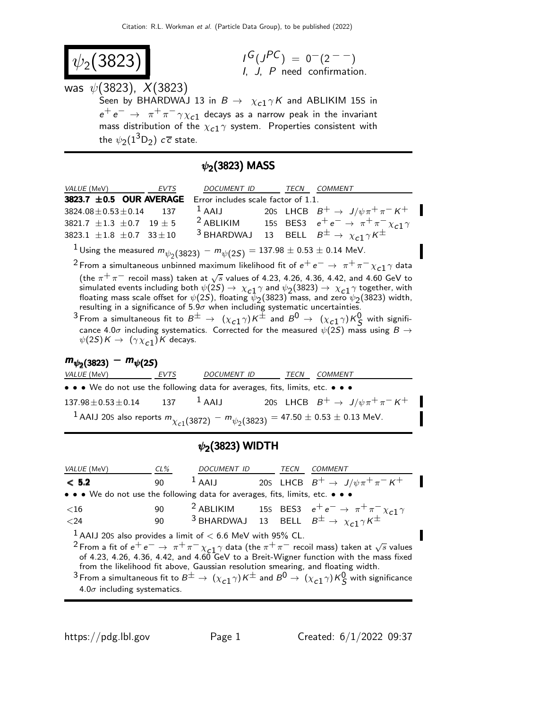$$
\psi_2(3823)
$$

$$
I^G(J^{PC}) = 0^-(2^{--})
$$
  
I, J, P need confirmation.

was  $\psi(3823)$ ,  $X(3823)$ Seen by BHARDWAJ 13 in  $B \to \chi_{c1} \gamma K$  and ABLIKIM 15S in  $e^+ \, e^- \, \rightarrow \, \pi^+ \, \pi^- \, \gamma \, \chi_{c1}$  decays as a narrow peak in the invariant mass distribution of the  $\chi_{c1} \gamma$  system. Properties consistent with the  $\psi_2(1^3\mathsf{D}_2)$   $c\overline{c}$  state.

## $\psi_2$ (3823) MASS

| <i>VALUE</i> (MeV)<br>EVTS                                                                        | DOCUMENT ID TECN |  | <i>COMMENT</i>                                                               |
|---------------------------------------------------------------------------------------------------|------------------|--|------------------------------------------------------------------------------|
| 3823.7 $\pm$ 0.5 OUR AVERAGE Error includes scale factor of 1.1.                                  |                  |  |                                                                              |
| $3824.08 \pm 0.53 \pm 0.14$ 137                                                                   |                  |  | <sup>1</sup> AAIJ 20s LHCB $B^+ \rightarrow J/\psi \pi^+ \pi^- K^+$          |
| $3821.7 \pm 1.3 \pm 0.7 \quad 19 \pm 5$                                                           |                  |  | <sup>2</sup> ABLIKIM 155 BES3 $e^+e^- \rightarrow \pi^+\pi^-\chi_{c1}\gamma$ |
| $3823.1 \pm 1.8 \pm 0.7$ $33 \pm 10$                                                              |                  |  | <sup>3</sup> BHARDWAJ 13 BELL $B^{\pm} \rightarrow \chi_{c1} \gamma K^{\pm}$ |
| <sup>1</sup> Using the measured $m_{\psi_2(3823)} - m_{\psi(2S)} = 137.98 \pm 0.53 \pm 0.14$ MeV. |                  |  |                                                                              |
|                                                                                                   |                  |  |                                                                              |

 $^2$ From a simultaneous unbinned maximum likelihood fit of  $e^+ \, e^- \rightarrow \, \pi^+ \, \pi^- \chi_{c1} \gamma$  data

(the  $\pi^+\pi^-$  recoil mass) taken at  $\sqrt{s}$  values of 4.23, 4.26, 4.36, 4.42, and 4.60 GeV to simulated events including both  $\psi(25) \rightarrow \chi_{c1} \gamma$  and  $\psi_2(3823) \rightarrow \chi_{c1} \gamma$  together, with floating mass scale offset for  $\psi(2\vec{S})$ , floating  $\psi_2(3823)$  mass, and zero  $\psi_2(3823)$  width, resulting in a significance of 5.9 $\sigma$  when including systematic uncertainties.

 $^3$  From a simultaneous fit to  $B^\pm \, \to \, \, (\chi_{c1} \gamma) K^\pm$  and  $B^0 \, \to \, \, (\chi_{c1} \gamma) K^0_S$  with significance 4.0 $\sigma$  including systematics. Corrected for the measured  $\psi(2S)$  mass using  $B \to \psi(2S)$  $\psi(2S)K \to (\gamma \chi_{c1})K$  decays.

# $m_{\psi_2(3823)} - m_{\psi(25)}$

| VALUE (MeV) EVTS                                                                                           | DOCUMENT ID | TECN | COMMENT                                           |
|------------------------------------------------------------------------------------------------------------|-------------|------|---------------------------------------------------|
| • • • We do not use the following data for averages, fits, limits, etc. • • •                              |             |      |                                                   |
| $137.98 \pm 0.53 \pm 0.14$ 137 $^{-1}$ AAIJ                                                                |             |      | 205 LHCB $B^+ \rightarrow J/\psi \pi^+ \pi^- K^+$ |
| <sup>1</sup> AAIJ 20S also reports $m_{\chi_{c1}(3872)} - m_{\psi_2(3823)} = 47.50 \pm 0.53 \pm 0.13$ MeV. |             |      |                                                   |

## $\psi_2(3823)$  WIDTH

| <i>VALUE</i> (MeV)                                                            | CL% | DOCUMENT ID |  | TECN | <i>COMMENT</i>                                                                                                                                              |  |
|-------------------------------------------------------------------------------|-----|-------------|--|------|-------------------------------------------------------------------------------------------------------------------------------------------------------------|--|
| < 5.2                                                                         | 90  |             |  |      | <sup>1</sup> AAIJ 20s LHCB $B^+ \rightarrow J/\psi \pi^+ \pi^- K^+$                                                                                         |  |
| • • • We do not use the following data for averages, fits, limits, etc. • • • |     |             |  |      |                                                                                                                                                             |  |
| ${<}16$                                                                       | 90  |             |  |      |                                                                                                                                                             |  |
| $24$                                                                          | 90  |             |  |      | <sup>2</sup> ABLIKIM 15s BES3 $e^+e^- \rightarrow \pi^+\pi^-\chi_{c1}\gamma$<br><sup>3</sup> BHARDWAJ 13 BELL $B^{\pm} \rightarrow \chi_{c1}\gamma K^{\pm}$ |  |
| <sup>1</sup> AAIJ 20S also provides a limit of $<$ 6.6 MeV with 95% CL.       |     |             |  |      |                                                                                                                                                             |  |

<sup>2</sup> From a fit of  $e^+e^- \rightarrow \pi^+\pi^-\chi_{c1}^-\gamma$  data (the  $\pi^+\pi^-$  recoil mass) taken at  $\sqrt{s}$  values of 4.23, 4.26, 4.36, 4.42, and 4.60 GeV to a Breit-Wigner function with the mass fixed from the likelihood fit above, Gaussian resolution smearing, and floating width.

 $^3$ From a simultaneous fit to  $B^\pm\to\,(\chi_{c1}\gamma)$  K $^\pm$  and  $B^0\to\,(\chi_{c1}\gamma)$  K $^0_S$  with significance  $4.0\sigma$  including systematics.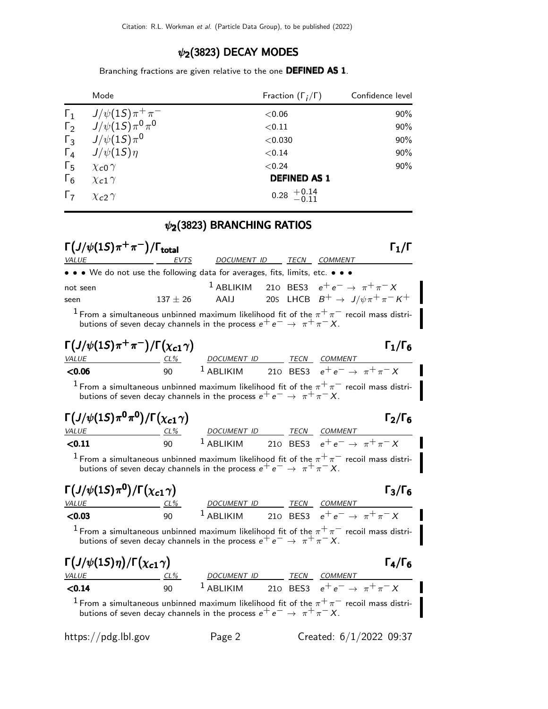#### $\psi_2$ (3823) DECAY MODES

Branching fractions are given relative to the one DEFINED AS 1.

|            | Mode                              | Fraction $(\Gamma_i/\Gamma)$                       | Confidence level |
|------------|-----------------------------------|----------------------------------------------------|------------------|
| $\Gamma_1$ | $J/\psi(1S)\pi^+\pi^-$            | ${<}0.06$                                          | 90%              |
|            | $\Gamma_2$ $J/\psi(15)\pi^0\pi^0$ | < 0.11                                             | 90%              |
| $\Gamma_3$ | $J/\psi(1S)\pi^0$                 | < 0.030                                            | 90%              |
| $\Gamma_4$ | $J/\psi(1S)\eta$                  | < 0.14                                             | 90%              |
| $\Gamma_5$ | $\chi$ <sub>c</sub> O $\gamma$    | < 0.24                                             | 90%              |
| $\Gamma_6$ | $\chi_{c1} \gamma$                | <b>DEFINED AS 1</b>                                |                  |
| $\Gamma$   | $\chi$ <sub>C</sub> $\gamma$      | $0.28 \begin{array}{c} +0.14 \\ -0.11 \end{array}$ |                  |

### $\psi_2$ (3823) BRANCHING RATIOS

| $\Gamma\left(J/\psi(1S)\pi^+\pi^-\right)/\Gamma_{\rm total}$                                                                                                                                                                                                      |             |                    |  |             |                                                                |
|-------------------------------------------------------------------------------------------------------------------------------------------------------------------------------------------------------------------------------------------------------------------|-------------|--------------------|--|-------------|----------------------------------------------------------------|
| VALUE                                                                                                                                                                                                                                                             | <b>EVTS</b> | DOCUMENT ID TECN   |  |             | <i>COMMENT</i>                                                 |
| • • • We do not use the following data for averages, fits, limits, etc. • • •                                                                                                                                                                                     |             |                    |  |             |                                                                |
| not seen<br>seen                                                                                                                                                                                                                                                  |             |                    |  |             | <sup>1</sup> ABLIKIM 210 BES3 $e^+e^- \rightarrow \pi^+\pi^-X$ |
| 137 ± 26 AAIJ 20S LHCB $B^+ \rightarrow J/\psi \pi^+ \pi^- K^+$<br><sup>1</sup> From a simultaneous unbinned maximum likelihood fit of the $\pi^+\pi^-$ recoil mass distri-<br>butions of seven decay channels in the process $e^+e^- \rightarrow \pi^+\pi^- X$ . |             |                    |  |             |                                                                |
| $\Gamma\left(\frac{J}{\psi(1S)}\pi^{+}\pi^{-}\right)/\Gamma\left(\chi_{c1}\gamma\right)$                                                                                                                                                                          |             |                    |  |             | $\Gamma_1/\Gamma_6$                                            |
| VALUE                                                                                                                                                                                                                                                             | $CL\%$      | <b>DOCUMENT ID</b> |  | <i>TECN</i> | COMMENT                                                        |
| < 0.06                                                                                                                                                                                                                                                            | 90          |                    |  |             | <sup>1</sup> ABLIKIM 210 BES3 $e^+e^- \rightarrow \pi^+\pi^-X$ |

<sup>1</sup> From a simultaneous unbinned maximum likelihood fit of the  $\pi^+\pi^-$  recoil mass distributions of seven decay channels in the process  $e^+e^- \rightarrow \pi^+\pi^-X$ .

| $\Gamma\left(\frac{J}{\psi(1S)}\pi^0\pi^0\right)/\Gamma\left(\chi_{c1}\gamma\right)$ |     |             |      | $\Gamma_2/\Gamma_6$                                            |  |
|--------------------------------------------------------------------------------------|-----|-------------|------|----------------------------------------------------------------|--|
| <i>VALUE</i>                                                                         | CL% | DOCUMENT ID | TECN | COMMENT                                                        |  |
| < 0.11                                                                               | 90. |             |      | <sup>1</sup> ABLIKIM 210 BES3 $e^+e^- \rightarrow \pi^+\pi^-X$ |  |
|                                                                                      |     |             |      |                                                                |  |

<sup>1</sup> From a simultaneous unbinned maximum likelihood fit of the  $\pi^+\pi^-$  recoil mass distributions of seven decay channels in the process  $e^+ e^- \rightarrow \pi^+ \pi^- X$ .

| $\Gamma\left(J/\psi(1S)\pi^0\right)/\Gamma\left(\chi_{c1}\gamma\right)$ |        |             |  |      |                                           | $\Gamma_3/\Gamma_6$ |
|-------------------------------------------------------------------------|--------|-------------|--|------|-------------------------------------------|---------------------|
| <i>VALUE</i>                                                            | $CL\%$ | DOCUMENT ID |  | TECN | COMMENT                                   |                     |
| $<$ 0.03                                                                | ۹O     | $1$ ABLIKIM |  |      | 210 BES3 $e^+e^- \rightarrow \pi^+\pi^-X$ |                     |

<sup>1</sup> From a simultaneous unbinned maximum likelihood fit of the  $\pi^+\pi^-$  recoil mass distributions of seven decay channels in the process  $e^+e^- \rightarrow \pi^+\pi^-X$ .

| $\Gamma(J/\psi(1S)\eta)/\Gamma(\chi_{c1}\gamma)$ |     |                       |  |      |                                   |
|--------------------------------------------------|-----|-----------------------|--|------|-----------------------------------|
| <i>VALUE</i>                                     | CL% | DOCUMENT ID           |  | TECN | <i>COMMENT</i>                    |
| < 0.14                                           | ۹N  | $\frac{1}{2}$ ABLIKIM |  |      | 210 BES3 $e^+e^- \to \pi^+\pi^-X$ |

<sup>1</sup> From a simultaneous unbinned maximum likelihood fit of the  $\pi^{+}\pi^{-}$  recoil mass distributions of seven decay channels in the process  $e^+e^- \rightarrow \pi^+\pi^-X$ .

https://pdg.lbl.gov Page 2 Created: 6/1/2022 09:37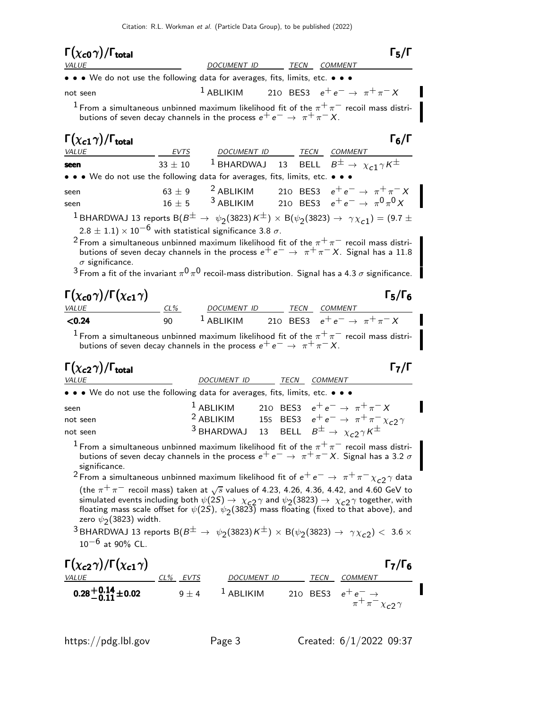| $\Gamma(\chi_{c0}\gamma)/\Gamma_{\rm total}$                                                                                                                                                                                                                                                                                                                                                                                                                                               |             |                                     |                                                                                                                                                                | $\Gamma_5/\Gamma$   |
|--------------------------------------------------------------------------------------------------------------------------------------------------------------------------------------------------------------------------------------------------------------------------------------------------------------------------------------------------------------------------------------------------------------------------------------------------------------------------------------------|-------------|-------------------------------------|----------------------------------------------------------------------------------------------------------------------------------------------------------------|---------------------|
| <i>VALUE</i>                                                                                                                                                                                                                                                                                                                                                                                                                                                                               |             | <b>DOCUMENT ID</b>                  | TECN COMMENT                                                                                                                                                   |                     |
| • • • We do not use the following data for averages, fits, limits, etc. • • •                                                                                                                                                                                                                                                                                                                                                                                                              |             |                                     |                                                                                                                                                                |                     |
| not seen                                                                                                                                                                                                                                                                                                                                                                                                                                                                                   |             |                                     | <sup>1</sup> ABLIKIM 210 BES3 $e^+e^- \rightarrow \pi^+\pi^-X$                                                                                                 |                     |
| <sup>1</sup> From a simultaneous unbinned maximum likelihood fit of the $\pi^{+}\pi^{-}$ recoil mass distri-<br>butions of seven decay channels in the process $e^+e^-\rightarrow \pi^+\pi^- X$ .                                                                                                                                                                                                                                                                                          |             |                                     |                                                                                                                                                                |                     |
| $\Gamma(\chi_{c1}\gamma)/\Gamma_{\rm total}$<br><i>VALUE</i>                                                                                                                                                                                                                                                                                                                                                                                                                               |             |                                     | EVTS DOCUMENT ID TECN COMMENT                                                                                                                                  | $\Gamma_6/\Gamma$   |
| seen                                                                                                                                                                                                                                                                                                                                                                                                                                                                                       | $33 \pm 10$ |                                     | <sup>1</sup> BHARDWAJ 13 BELL $B^{\pm} \rightarrow \chi_{c1} \gamma K^{\pm}$                                                                                   |                     |
| • • • We do not use the following data for averages, fits, limits, etc. • • •                                                                                                                                                                                                                                                                                                                                                                                                              |             |                                     |                                                                                                                                                                |                     |
| seen<br>seen                                                                                                                                                                                                                                                                                                                                                                                                                                                                               |             |                                     | 63 ± 9 <sup>2</sup> ABLIKIM 210 BES3 $e^+e^- \rightarrow \pi^+\pi^-X$<br>16 ± 5 <sup>3</sup> ABLIKIM 210 BES3 $e^+e^- \to \pi^0 \pi^0 X$                       |                     |
| <sup>1</sup> BHARDWAJ 13 reports B $(B^{\pm} \rightarrow \psi_2(3823)K^{\pm}) \times$ B $(\psi_2(3823) \rightarrow \gamma \chi_{c1}) = (9.7 \pm$<br>$(2.8 \pm 1.1) \times 10^{-6}$ with statistical significance 3.8 $\sigma$ .<br>$^2$ From a simultaneous unbinned maximum likelihood fit of the $\pi^+\pi^-$ recoil mass distri-                                                                                                                                                        |             |                                     |                                                                                                                                                                |                     |
| butions of seven decay channels in the process $e^+e^-\rightarrow \pi^+\pi^- X$ . Signal has a 11.8<br>$\sigma$ significance.<br>$3$ From a fit of the invariant $\pi^{0} \pi^{0}$ recoil-mass distribution. Signal has a 4.3 $\sigma$ significance.                                                                                                                                                                                                                                       |             |                                     |                                                                                                                                                                |                     |
|                                                                                                                                                                                                                                                                                                                                                                                                                                                                                            |             |                                     |                                                                                                                                                                |                     |
| $\Gamma(\chi_{\bm{c0}}\gamma)/\Gamma(\chi_{\bm{c1}}\gamma)$<br><i>VALUE</i>                                                                                                                                                                                                                                                                                                                                                                                                                |             | <u>CL% DOCUMENT ID TECN COMMENT</u> |                                                                                                                                                                | $\Gamma_5/\Gamma_6$ |
| < 0.24                                                                                                                                                                                                                                                                                                                                                                                                                                                                                     | 90          |                                     | <sup>1</sup> ABLIKIM 210 BES3 $e^+e^- \rightarrow \pi^+\pi^-X$                                                                                                 |                     |
| $^1$ From a simultaneous unbinned maximum likelihood fit of the $\pi^+\pi^-$ recoil mass distri-<br>butions of seven decay channels in the process $e^+e^- \rightarrow \pi^+\pi^- X$ .                                                                                                                                                                                                                                                                                                     |             |                                     |                                                                                                                                                                |                     |
| $\Gamma(\chi_{c2}\gamma)/\Gamma_{\rm total}$<br><i>VALUE</i>                                                                                                                                                                                                                                                                                                                                                                                                                               |             | DOCUMENT ID TECN COMMENT            |                                                                                                                                                                | $\Gamma_7/\Gamma$   |
| • • • We do not use the following data for averages, fits, limits, etc. • • •                                                                                                                                                                                                                                                                                                                                                                                                              |             |                                     |                                                                                                                                                                |                     |
| seen                                                                                                                                                                                                                                                                                                                                                                                                                                                                                       |             | $^1$ ABLIKIM                        | 210 BES3 $e^+e^- \to \pi^+\pi^- X$                                                                                                                             |                     |
| not seen<br>not seen                                                                                                                                                                                                                                                                                                                                                                                                                                                                       |             |                                     | <sup>2</sup> ABLIKIM 15s BES3 $e^+e^- \rightarrow \pi^+\pi^- \chi_{c2} \gamma$<br><sup>3</sup> BHARDWAJ 13 BELL $B^{\pm} \rightarrow \chi_{c2} \gamma K^{\pm}$ |                     |
| <sup>1</sup> From a simultaneous unbinned maximum likelihood fit of the $\pi^{+}\pi^{-}$ recoil mass distri-<br>butions of seven decay channels in the process $e^+e^-\rightarrow\pi^+\pi^-X$ . Signal has a 3.2 $\sigma$<br>significance.                                                                                                                                                                                                                                                 |             |                                     |                                                                                                                                                                |                     |
| <sup>2</sup> From a simultaneous unbinned maximum likelihood fit of $e^+e^-\rightarrow \pi^+\pi^-\chi_{c2}\gamma$ data<br>(the $\pi^+\pi^-$ recoil mass) taken at $\sqrt{s}$ values of 4.23, 4.26, 4.36, 4.42, and 4.60 GeV to<br>simulated events including both $\psi(2S) \to \chi_{c2} \gamma$ and $\psi_2(3823) \to \chi_{c2} \gamma$ together, with floating mass scale offset for $\psi(2S)$ , $\psi_2(3823)$ mass floating (fixed to that above), and<br>zero $\psi_2(3823)$ width. |             |                                     |                                                                                                                                                                |                     |
| <sup>3</sup> BHARDWAJ 13 reports B $(B^{\pm} \rightarrow \psi_2(3823)K^{\pm}) \times B(\psi_2(3823) \rightarrow \gamma \chi_c$ <sub>2</sub> ) < 3.6 $\times$<br>$10^{-6}$ at 90% CL.                                                                                                                                                                                                                                                                                                       |             |                                     |                                                                                                                                                                |                     |
| $\Gamma(\chi_{c2}\gamma)/\Gamma(\chi_{c1}\gamma)$<br>VALUE CL% EVTS                                                                                                                                                                                                                                                                                                                                                                                                                        |             |                                     | DOCUMENT ID TECN COMMENT                                                                                                                                       | $\Gamma_7/\Gamma_6$ |
| $\overline{0.28^{+0.14}_{-0.11}\pm 0.02}$ $\overline{9\pm 4}$                                                                                                                                                                                                                                                                                                                                                                                                                              |             |                                     | <sup>1</sup> ABLIKIM 210 BES3 $e^+e^- \rightarrow \pi^+ \pi^- \chi_{c2} \gamma$                                                                                |                     |
|                                                                                                                                                                                                                                                                                                                                                                                                                                                                                            |             |                                     |                                                                                                                                                                |                     |

https://pdg.lbl.gov Page 3 Created: 6/1/2022 09:37